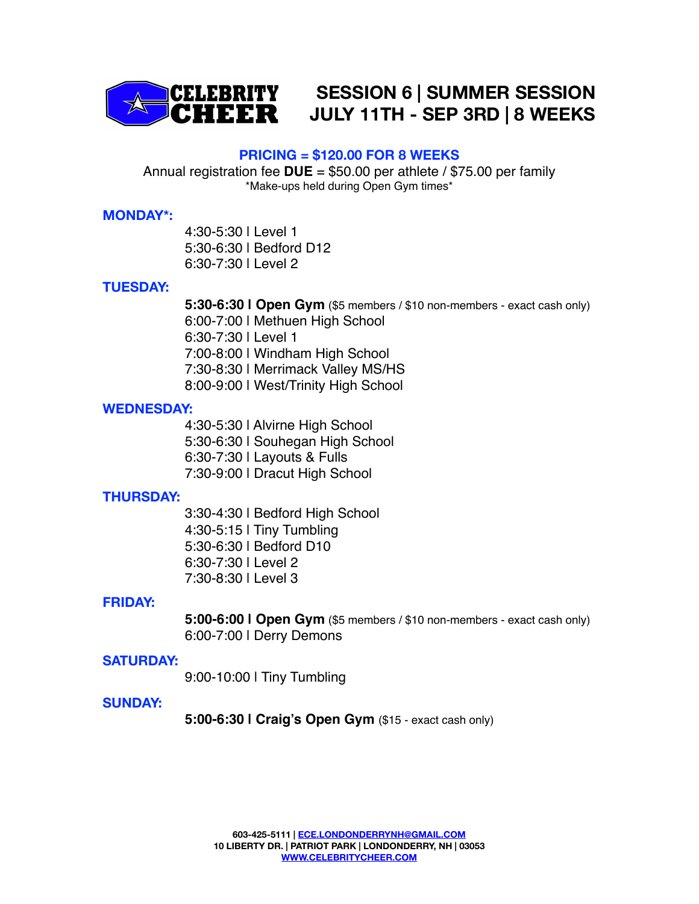

**SESSION 6 | SUMMER SESSION JULY 11TH - SEP 3RD | 8 WEEKS** 

# **PRICING = \$120.00 FOR 8 WEEKS**

Annual registration fee **DUE** = \$50.00 per athlete / \$75.00 per family \*Make-ups held during Open Gym times\*

# **MONDAY\*:**

4:30-5:30 | Level 1 5:30-6:30 | Bedford D12 6:30-7:30 | Level 2

# **TUESDAY:**

**5:30-6:30 | Open Gym** (\$5 members / \$10 non-members - exact cash only)

 6:00-7:00 | Methuen High School

6:30-7:30 | Level 1

7:00-8:00 | Windham High School

7:30-8:30 | Merrimack Valley MS/HS

8:00-9:00 | West/Trinity High School

# **WEDNESDAY:**

4:30-5:30 | Alvirne High School

5:30-6:30 | Souhegan High School

6:30-7:30 | Layouts & Fulls

7:30-9:00 | Dracut High School

# **THURSDAY:**

3:30-4:30 | Bedford High School 4:30-5:15 | Tiny Tumbling 5:30-6:30 | Bedford D10 6:30-7:30 | Level 2 7:30-8:30 | Level 3

# **FRIDAY:**

**5:00-6:00 | Open Gym** (\$5 members / \$10 non-members - exact cash only) 6:00-7:00 | Derry Demons

# **SATURDAY:**

9:00-10:00 | Tiny Tumbling

#### **SUNDAY:**

**5:00-6:30 | Craig's Open Gym** (\$15 - exact cash only)